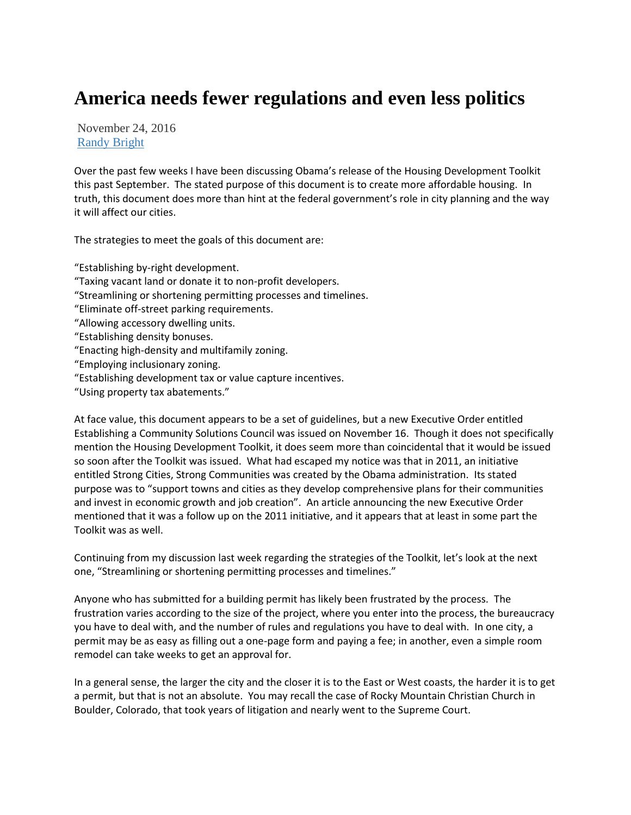## **America needs fewer regulations and even less politics**

November 24, 2016 [Randy Bright](http://tulsabeacon.com/author/randy-bright/)

Over the past few weeks I have been discussing Obama's release of the Housing Development Toolkit this past September. The stated purpose of this document is to create more affordable housing. In truth, this document does more than hint at the federal government's role in city planning and the way it will affect our cities.

The strategies to meet the goals of this document are:

"Establishing by-right development. "Taxing vacant land or donate it to non-profit developers. "Streamlining or shortening permitting processes and timelines. "Eliminate off-street parking requirements. "Allowing accessory dwelling units. "Establishing density bonuses. "Enacting high-density and multifamily zoning. "Employing inclusionary zoning. "Establishing development tax or value capture incentives. "Using property tax abatements."

At face value, this document appears to be a set of guidelines, but a new Executive Order entitled Establishing a Community Solutions Council was issued on November 16. Though it does not specifically mention the Housing Development Toolkit, it does seem more than coincidental that it would be issued so soon after the Toolkit was issued. What had escaped my notice was that in 2011, an initiative entitled Strong Cities, Strong Communities was created by the Obama administration. Its stated purpose was to "support towns and cities as they develop comprehensive plans for their communities and invest in economic growth and job creation". An article announcing the new Executive Order mentioned that it was a follow up on the 2011 initiative, and it appears that at least in some part the Toolkit was as well.

Continuing from my discussion last week regarding the strategies of the Toolkit, let's look at the next one, "Streamlining or shortening permitting processes and timelines."

Anyone who has submitted for a building permit has likely been frustrated by the process. The frustration varies according to the size of the project, where you enter into the process, the bureaucracy you have to deal with, and the number of rules and regulations you have to deal with. In one city, a permit may be as easy as filling out a one-page form and paying a fee; in another, even a simple room remodel can take weeks to get an approval for.

In a general sense, the larger the city and the closer it is to the East or West coasts, the harder it is to get a permit, but that is not an absolute. You may recall the case of Rocky Mountain Christian Church in Boulder, Colorado, that took years of litigation and nearly went to the Supreme Court.